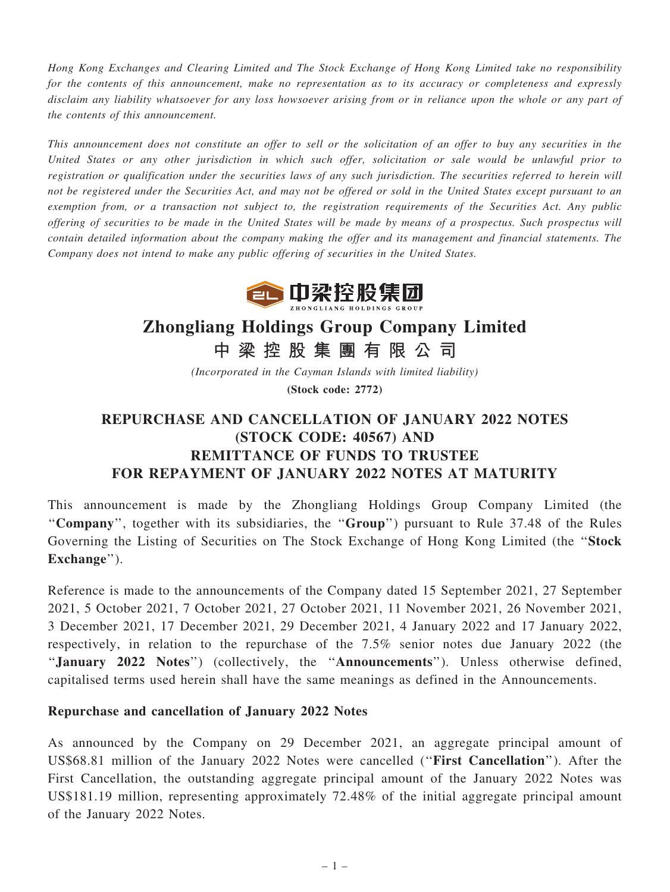Hong Kong Exchanges and Clearing Limited and The Stock Exchange of Hong Kong Limited take no responsibility for the contents of this announcement, make no representation as to its accuracy or completeness and expressly disclaim any liability whatsoever for any loss howsoever arising from or in reliance upon the whole or any part of the contents of this announcement.

This announcement does not constitute an offer to sell or the solicitation of an offer to buy any securities in the United States or any other jurisdiction in which such offer, solicitation or sale would be unlawful prior to registration or qualification under the securities laws of any such jurisdiction. The securities referred to herein will not be registered under the Securities Act, and may not be offered or sold in the United States except pursuant to an exemption from, or a transaction not subject to, the registration requirements of the Securities Act. Any public offering of securities to be made in the United States will be made by means of a prospectus. Such prospectus will contain detailed information about the company making the offer and its management and financial statements. The Company does not intend to make any public offering of securities in the United States.



## Zhongliang Holdings Group Company Limited

中 梁 控 股 集 團 有 限 公 司

(Incorporated in the Cayman Islands with limited liability) (Stock code: 2772)

## REPURCHASE AND CANCELLATION OF JANUARY 2022 NOTES (STOCK CODE: 40567) AND REMITTANCE OF FUNDS TO TRUSTEE FOR REPAYMENT OF JANUARY 2022 NOTES AT MATURITY

This announcement is made by the Zhongliang Holdings Group Company Limited (the "Company", together with its subsidiaries, the "Group") pursuant to Rule 37.48 of the Rules Governing the Listing of Securities on The Stock Exchange of Hong Kong Limited (the ''Stock Exchange").

Reference is made to the announcements of the Company dated 15 September 2021, 27 September 2021, 5 October 2021, 7 October 2021, 27 October 2021, 11 November 2021, 26 November 2021, 3 December 2021, 17 December 2021, 29 December 2021, 4 January 2022 and 17 January 2022, respectively, in relation to the repurchase of the 7.5% senior notes due January 2022 (the "January 2022 Notes") (collectively, the "Announcements"). Unless otherwise defined, capitalised terms used herein shall have the same meanings as defined in the Announcements.

## Repurchase and cancellation of January 2022 Notes

As announced by the Company on 29 December 2021, an aggregate principal amount of US\$68.81 million of the January 2022 Notes were cancelled (''First Cancellation''). After the First Cancellation, the outstanding aggregate principal amount of the January 2022 Notes was US\$181.19 million, representing approximately 72.48% of the initial aggregate principal amount of the January 2022 Notes.